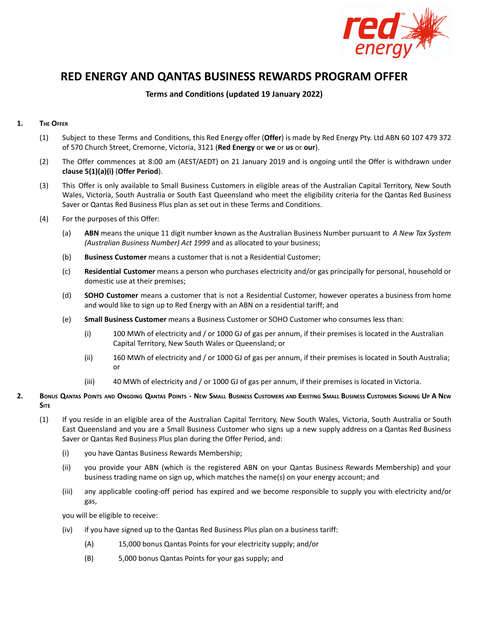

# **RED ENERGY AND QANTAS BUSINESS REWARDS PROGRAM OFFER**

## **Terms and Conditions (updated 19 January 2022)**

## **1. THE OFFER**

- (1) Subject to these Terms and Conditions, this Red Energy offer (**Offer**) is made by Red Energy Pty. Ltd ABN 60 107 479 372 of 570 Church Street, Cremorne, Victoria, 3121 (**Red Energy** or **we** or **us** or **our**).
- (2) The Offer commences at 8:00 am (AEST/AEDT) on 21 January 2019 and is ongoing until the Offer is withdrawn under **clause 5(1)(a)(i)** (**Offer Period**).
- (3) This Offer is only available to Small Business Customers in eligible areas of the Australian Capital Territory, New South Wales, Victoria, South Australia or South East Queensland who meet the eligibility criteria for the Qantas Red Business Saver or Qantas Red Business Plus plan as set out in these Terms and Conditions.
- (4) For the purposes of this Offer:
	- (a) **ABN** means the unique 11 digit number known as the Australian Business Number pursuant to *A New Tax System (Australian Business Number) Act 1999* and as allocated to your business;
	- (b) **Business Customer** means a customer that is not a Residential Customer;
	- (c) **Residential Customer** means a person who purchases electricity and/or gas principally for personal, household or domestic use at their premises;
	- (d) **SOHO Customer** means a customer that is not a Residential Customer, however operates a business from home and would like to sign up to Red Energy with an ABN on a residential tariff; and
	- (e) **Small Business Customer** means a Business Customer or SOHO Customer who consumes less than:
		- (i) 100 MWh of electricity and / or 1000 GJ of gas per annum, if their premises is located in the Australian Capital Territory, New South Wales or Queensland; or
		- (ii) 160 MWh of electricity and / or 1000 GJ of gas per annum, if their premises is located in South Australia; or
		- (iii) 40 MWh of electricity and / or 1000 GJ of gas per annum, if their premises is located in Victoria.
- 2. BONUS QANTAS POINTS AND ONGOING QANTAS POINTS NEW SMALL BUSINESS CUSTOMERS AND EXISTING SMALL BUSINESS CUSTOMERS SIGNING UP A NEW **SITE**
	- (1) If you reside in an eligible area of the Australian Capital Territory, New South Wales, Victoria, South Australia or South East Queensland and you are a Small Business Customer who signs up a new supply address on a Qantas Red Business Saver or Qantas Red Business Plus plan during the Offer Period, and:
		- (i) you have Qantas Business Rewards Membership;
		- (ii) you provide your ABN (which is the registered ABN on your Qantas Business Rewards Membership) and your business trading name on sign up, which matches the name(s) on your energy account; and
		- (iii) any applicable cooling-off period has expired and we become responsible to supply you with electricity and/or gas,

you will be eligible to receive:

- (iv) if you have signed up to the Qantas Red Business Plus plan on a business tariff:
	- (A) 15,000 bonus Qantas Points for your electricity supply; and/or
	- (B) 5,000 bonus Qantas Points for your gas supply; and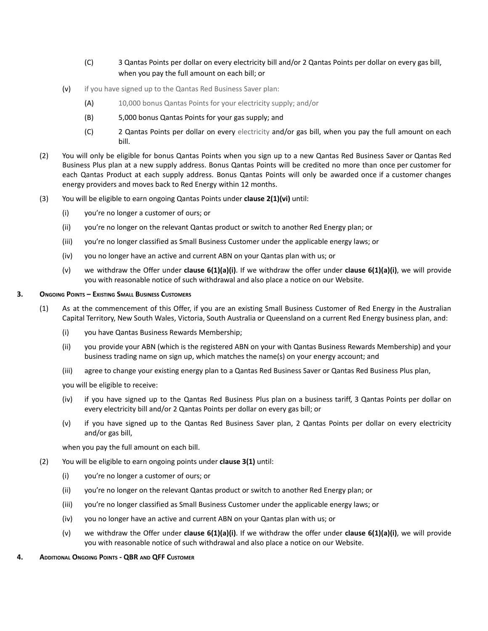## (C) 3 Qantas Points per dollar on every electricity bill and/or 2 Qantas Points per dollar on every gas bill, when you pay the full amount on each bill; or

- (v) if you have signed up to the Qantas Red Business Saver plan:
	- (A) 10,000 bonus Qantas Points for your electricity supply; and/or
	- (B) 5,000 bonus Qantas Points for your gas supply; and
	- (C) 2 Qantas Points per dollar on every electricity and/or gas bill, when you pay the full amount on each bill.
- (2) You will only be eligible for bonus Qantas Points when you sign up to a new Qantas Red Business Saver or Qantas Red Business Plus plan at a new supply address. Bonus Qantas Points will be credited no more than once per customer for each Qantas Product at each supply address. Bonus Qantas Points will only be awarded once if a customer changes energy providers and moves back to Red Energy within 12 months.
- (3) You will be eligible to earn ongoing Qantas Points under **clause 2(1)(vi)** until:
	- (i) you're no longer a customer of ours; or
	- (ii) you're no longer on the relevant Qantas product or switch to another Red Energy plan; or
	- (iii) you're no longer classified as Small Business Customer under the applicable energy laws; or
	- (iv) you no longer have an active and current ABN on your Qantas plan with us; or
	- (v) we withdraw the Offer under **clause 6(1)(a)(i)**. If we withdraw the offer under **clause 6(1)(a)(i)**, we will provide you with reasonable notice of such withdrawal and also place a notice on our Website.

#### **3. ONGOING POINTS – EXISTING SMALL BUSINESS CUSTOMERS**

- (1) As at the commencement of this Offer, if you are an existing Small Business Customer of Red Energy in the Australian Capital Territory, New South Wales, Victoria, South Australia or Queensland on a current Red Energy business plan, and:
	- (i) you have Qantas Business Rewards Membership;
	- (ii) you provide your ABN (which is the registered ABN on your with Qantas Business Rewards Membership) and your business trading name on sign up, which matches the name(s) on your energy account; and
	- (iii) agree to change your existing energy plan to a Qantas Red Business Saver or Qantas Red Business Plus plan,

you will be eligible to receive:

- (iv) if you have signed up to the Qantas Red Business Plus plan on a business tariff, 3 Qantas Points per dollar on every electricity bill and/or 2 Qantas Points per dollar on every gas bill; or
- (v) if you have signed up to the Qantas Red Business Saver plan, 2 Qantas Points per dollar on every electricity and/or gas bill,

when you pay the full amount on each bill.

- (2) You will be eligible to earn ongoing points under **clause 3(1)** until:
	- (i) you're no longer a customer of ours; or
	- (ii) you're no longer on the relevant Qantas product or switch to another Red Energy plan; or
	- (iii) you're no longer classified as Small Business Customer under the applicable energy laws; or
	- (iv) you no longer have an active and current ABN on your Qantas plan with us; or
	- (v) we withdraw the Offer under **clause 6(1)(a)(i)**. If we withdraw the offer under **clause 6(1)(a)(i)**, we will provide you with reasonable notice of such withdrawal and also place a notice on our Website.

#### **4. ADDITIONAL ONGOING POINTS - QBR AND QFF CUSTOMER**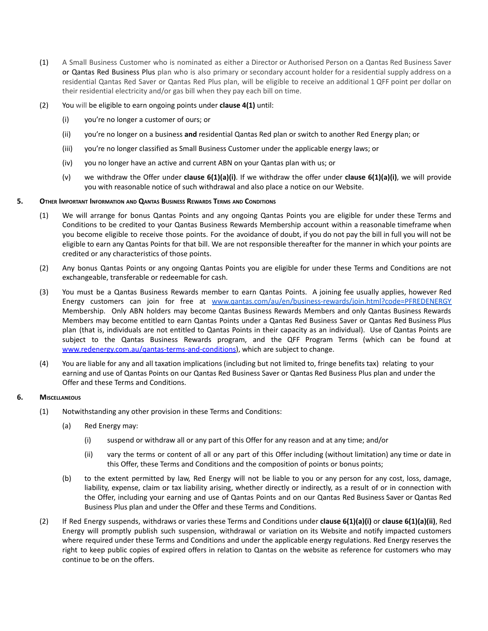- (1) A Small Business Customer who is nominated as either a Director or Authorised Person on a Qantas Red Business Saver or Qantas Red Business Plus plan who is also primary or secondary account holder for a residential supply address on a residential Qantas Red Saver or Qantas Red Plus plan, will be eligible to receive an additional 1 QFF point per dollar on their residential electricity and/or gas bill when they pay each bill on time.
- (2) You will be eligible to earn ongoing points under **clause 4(1)** until:
	- (i) you're no longer a customer of ours; or
	- (ii) you're no longer on a business **and** residential Qantas Red plan or switch to another Red Energy plan; or
	- (iii) you're no longer classified as Small Business Customer under the applicable energy laws; or
	- (iv) you no longer have an active and current ABN on your Qantas plan with us; or
	- (v) we withdraw the Offer under **clause 6(1)(a)(i)**. If we withdraw the offer under **clause 6(1)(a)(i)**, we will provide you with reasonable notice of such withdrawal and also place a notice on our Website.

#### **5. OTHER IMPORTANT INFORMATION AND QANTAS BUSINESS REWARDS TERMS AND CONDITIONS**

- (1) We will arrange for bonus Qantas Points and any ongoing Qantas Points you are eligible for under these Terms and Conditions to be credited to your Qantas Business Rewards Membership account within a reasonable timeframe when you become eligible to receive those points. For the avoidance of doubt, if you do not pay the bill in full you will not be eligible to earn any Qantas Points for that bill. We are not responsible thereafter for the manner in which your points are credited or any characteristics of those points.
- (2) Any bonus Qantas Points or any ongoing Qantas Points you are eligible for under these Terms and Conditions are not exchangeable, transferable or redeemable for cash.
- (3) You must be a Qantas Business Rewards member to earn Qantas Points. A joining fee usually applies, however Red Energy customers can join for free at [www.qantas.com/au/en/business-rewards/join.html?code=PFREDENERGY](https://www.qantas.com/au/en/business-rewards/join.html?code=PFREDENERGY) Membership. Only ABN holders may become Qantas Business Rewards Members and only Qantas Business Rewards Members may become entitled to earn Qantas Points under a Qantas Red Business Saver or Qantas Red Business Plus plan (that is, individuals are not entitled to Qantas Points in their capacity as an individual). Use of Qantas Points are subject to the Qantas Business Rewards program, and the QFF Program Terms (which can be found at www.redenergy.com.au/gantas-terms-and-conditions), which are subject to change.
- (4) You are liable for any and all taxation implications (including but not limited to, fringe benefits tax) relating to your earning and use of Qantas Points on our Qantas Red Business Saver or Qantas Red Business Plus plan and under the Offer and these Terms and Conditions.

### **6. MISCELLANEOUS**

- (1) Notwithstanding any other provision in these Terms and Conditions:
	- (a) Red Energy may:
		- (i) suspend or withdraw all or any part of this Offer for any reason and at any time; and/or
		- (ii) vary the terms or content of all or any part of this Offer including (without limitation) any time or date in this Offer, these Terms and Conditions and the composition of points or bonus points;
	- (b) to the extent permitted by law, Red Energy will not be liable to you or any person for any cost, loss, damage, liability, expense, claim or tax liability arising, whether directly or indirectly, as a result of or in connection with the Offer, including your earning and use of Qantas Points and on our Qantas Red Business Saver or Qantas Red Business Plus plan and under the Offer and these Terms and Conditions.
- (2) If Red Energy suspends, withdraws or varies these Terms and Conditions under **clause 6(1)(a)(i)** or **clause 6(1)(a)(ii)**, Red Energy will promptly publish such suspension, withdrawal or variation on its Website and notify impacted customers where required under these Terms and Conditions and under the applicable energy regulations. Red Energy reserves the right to keep public copies of expired offers in relation to Qantas on the website as reference for customers who may continue to be on the offers.